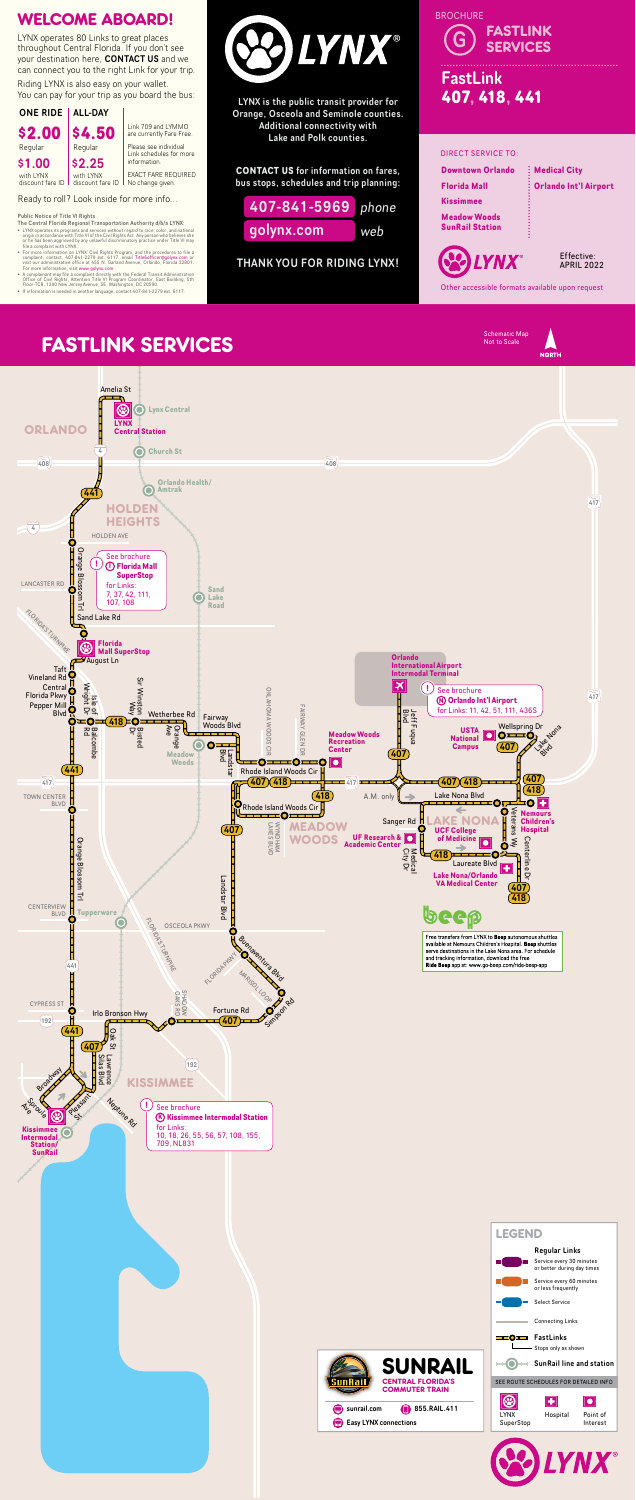#### **FASTLINK SERVICES NORTH** Amelia St  $\circledcirc$ **Lynx Central SEE ROUTE SCHEDULES FOR DETAILED INFORMATION** ORLANDO **Central Station** SUNRAIL SERVICE STATES OF STATES OF STATES OF STATES OF STATES OF STATES OF STATES OF STATES OF STATES OF STATES OF STATES OF STATES OF STATES OF STATES OF STATES OF STATES OF STATES OF STATES OF STATES OF STATES OF STATES SunRail line and station **Church St** 4 Stops only as shown 408 and the contract of the contract of the contract of the contract of the contract of the contract of the co FastLinks **Orlando Health/** Connecting Links $\mathbf{O}$ **Amtrak**  $(441$ 417 Select Service Service Service Service Service Service Service Service Service Service Service Service Service HOLDEN or less frequently believed and the contract of the contract of the contract of the contract of the contract o HEIGHTS  $\mathcal{S}$  and  $\mathcal{S}$  and  $\mathcal{S}$ 4  $H$ OLDEN AVE Service every 30 minutes Orange **Tupperware**<br>
Tupperware<br>
Tupperware<br>
Tupperware<br>
Tupperware<br>
Tupperware See brochure **Florida Mall** Bloss **SuperStop** LANCASTER RD for Links: Ο **Sand** ğ 7, 37, 42, 111, **Lake**  $\bigcap$ П 107, 108 FLORIDA'S TURNPIKE **Road** 로 Sand Lake Rd Ö  $\circledR$ **Florida Mall SuperStop Orlando** August Ln 709, NL831 **International Airport** Taft **International Airport** Vineland Rd<sup>O</sup> Sir Winston **Intermodal Terminal Newton**<br>
See brochure<br> **@ Orlando Int'l Airport** Bisted Sir Winston п Central Isle of Wright Dr **Kissimmer Intermodel See brochure**  $\overrightarrow{417}$ О **OKLAHOMA WOODS** OKLAHOMA WOODS CIR Florida Pkwy Pepper Mill FAIRWAY GLEN for Links: 11, 42, 51, 111, 436S FAIRWAY GLEN DR DREEL<br>Blue<br>Blue Blvd Wetherbee Rd Fairway Ô**=0**  $(418)$ =O KISSIMMEE KALE in<br> $\overline{\mathbf{L}}$ gl<br>X Wellspring Dr<br>
OIO Woods Blvd Endna **Balco Bisted**<br>Dr Ave Orange **USTA** Balcombe **Meadow Woods National Recreation**  $\overline{O}$  $\bullet$ **Campus**  $(407$ BLVD mbe  $\frac{1}{2}$ **Center** Landstar<br>Blvd  $\overline{a}$ 407 **Meadow**  $\mathbf{I}$  $\mathbf{v}$  $= 0$  and  $= 0$  $\boxed{\bullet}$ **Woods**  $(441)$ Rhode Island Woods Cir  $(407)$  $\frac{1}{417}$   $\frac{1}{107}$   $\frac{1}{107}$   $\frac{1}{107}$   $\frac{1}{107}$   $\frac{1}{107}$   $\frac{1}{107}$   $\frac{1}{107}$   $\frac{1}{107}$   $\frac{1}{107}$   $\frac{1}{107}$   $\frac{1}{107}$   $\frac{1}{107}$   $\frac{1}{107}$   $\frac{1}{107}$   $\frac{1}{107}$   $\frac{1}{107}$   $\frac{1}{107}$   $\frac{1$  $-417$  $(407)(418)$  $\blacktriangleright$  $\frac{1}{2}$  (418) A.M. only  $\leftarrow$  Lake Nona Blvd  $(418)$ A.M. only  $\Rightarrow$ TOWN CENTER  $\bullet$   $\blacksquare$ OF. BLVD C Rhode Island Woods Cir MARISON<br>Sang Voods Cir H<br>
MEADOW Sanger Rd **LAKE NONA Metapolity**<br>
MCADO UF Research & Metapolity of Medicine 0 Veterans Wy **Nemours** WYNDHAM<br>LAKES BLVD Sanger Rd<br>
UF Research &<br>
Cademic Center<br>
Caper<br>
Caper<br>
Data<br>
Data<br>
Data<br>
Data<br>
Data<br>
Data<br>
Data<br>
Data<br>
Data<br>
Data<br>
Data<br>
Data<br>
Data<br>
Data<br>
Data<br>
Data<br>
Data<br>
Data<br>
Data<br>
Data<br>
Data<br>
Data<br>
Data<br>
Data<br>
Data<br>
Data<br>
Data<br>
Data Sanger Rd **Children's** LAKES BLVD WYNDHAM  $(407)$ **Hospital UCF College UF Research & of Medicine Academic Center Lacker Non-American Property Concrete**<br>
Calculate Blvd<br>
Lake Nona/Orlando<br>
VA Medical Center **WOODS**  $\lessgtr$ Cen Orange Centerline Dr  $\bullet$ iterline City Dr Medical 418 **OZ** Laureate Blvd **Bloss**  $\mathbf{F}$ ă **VA Medical Center**

Riding LYNX is also easy on your wallet. You can pay for your trip as you board the bus:

- The Central Florida Regional Transportation Authority d/b/a LYNX:
- 
- LYNX operates its programs and services without regard to race, color, and national origin in accordance with Title VI of the Civil Rights Act. Any person who believes she or he has been aggrieved by any unlawful discri
- A complainant may file a complaint directly with the Federal Transit Administration<br>Office of Civil Rights, Attention Title VI Program Coordinator, East Building, 5th<br>Floor-TCR, 1200 New Jersey Avenue, SE, Washington, DC 2





les<br>es<br>**Lan** Free transfers from LYNX to Beep autonomous shuttles<br>available at Nemours Children's Hospital. Beep shuttles serve destinations in the Lake Nona area. For schedule and tracking information, download the free Ride Beep app at: www.go-beep.com/ride-beep-app

CENTRAL FLORIDA'S COMMUTER TRAIN

Easy LYNX connections

sunrail.com

SunRai



# FastLink **407, 418, 441** G FASTLINK **SERVICES BROCHURE**

LYNX is the public transit provider for Orange, Osceola and Seminole counties. Additional connectivity with Lake and Polk counties.

**CONTACT US** for information on fares, bus stops, schedules and trip planning:

THANK YOU FOR RIDING LYNX!



## WELCOME ABOARD!

Ready to roll? Look inside for more info...

LYNX operates 80 Links to great places throughout Central Florida. If you don't see your destination here, CONTACT US and we can connect you to the right Link for your trip.



Link 709 and LYMMO are currently Fare Free. Please see individual Link schedules for more

EXACT FARE REQUIRED No change given.

Other accessible formats available upon request

Schematic Map<br>Not to Scale





#### Public Notice of Title VI Rights



**855.RAIL.411** 

#### DIRECT SERVICE TO: **Downtown Orlando Florida Mall Kissimmee Meadow Woods SunRail Station Medical City Orlando Int'l Airport**